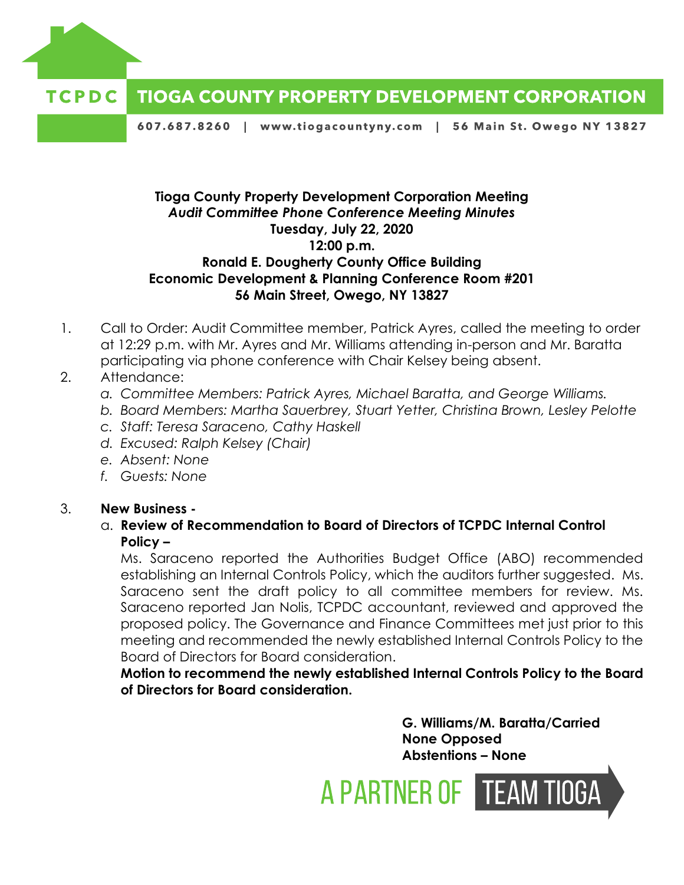



607.687.8260 | www.tiogacountyny.com | 56 Main St. Owego NY 13827

## **Tioga County Property Development Corporation Meeting** *Audit Committee Phone Conference Meeting Minutes* **Tuesday, July 22, 2020 12:00 p.m. Ronald E. Dougherty County Office Building Economic Development & Planning Conference Room #201 56 Main Street, Owego, NY 13827**

- 1. Call to Order: Audit Committee member, Patrick Ayres, called the meeting to order at 12:29 p.m. with Mr. Ayres and Mr. Williams attending in-person and Mr. Baratta participating via phone conference with Chair Kelsey being absent.
- 2. Attendance:
	- *a. Committee Members: Patrick Ayres, Michael Baratta, and George Williams.*
	- *b. Board Members: Martha Sauerbrey, Stuart Yetter, Christina Brown, Lesley Pelotte*
	- *c. Staff: Teresa Saraceno, Cathy Haskell*
	- *d. Excused: Ralph Kelsey (Chair)*
	- *e. Absent: None*
	- *f. Guests: None*

## 3. **New Business -**

a. **Review of Recommendation to Board of Directors of TCPDC Internal Control Policy –**

Ms. Saraceno reported the Authorities Budget Office (ABO) recommended establishing an Internal Controls Policy, which the auditors further suggested. Ms. Saraceno sent the draft policy to all committee members for review. Ms. Saraceno reported Jan Nolis, TCPDC accountant, reviewed and approved the proposed policy. The Governance and Finance Committees met just prior to this meeting and recommended the newly established Internal Controls Policy to the Board of Directors for Board consideration.

**Motion to recommend the newly established Internal Controls Policy to the Board of Directors for Board consideration.** 

> **G. Williams/M. Baratta/Carried None Opposed Abstentions – None**